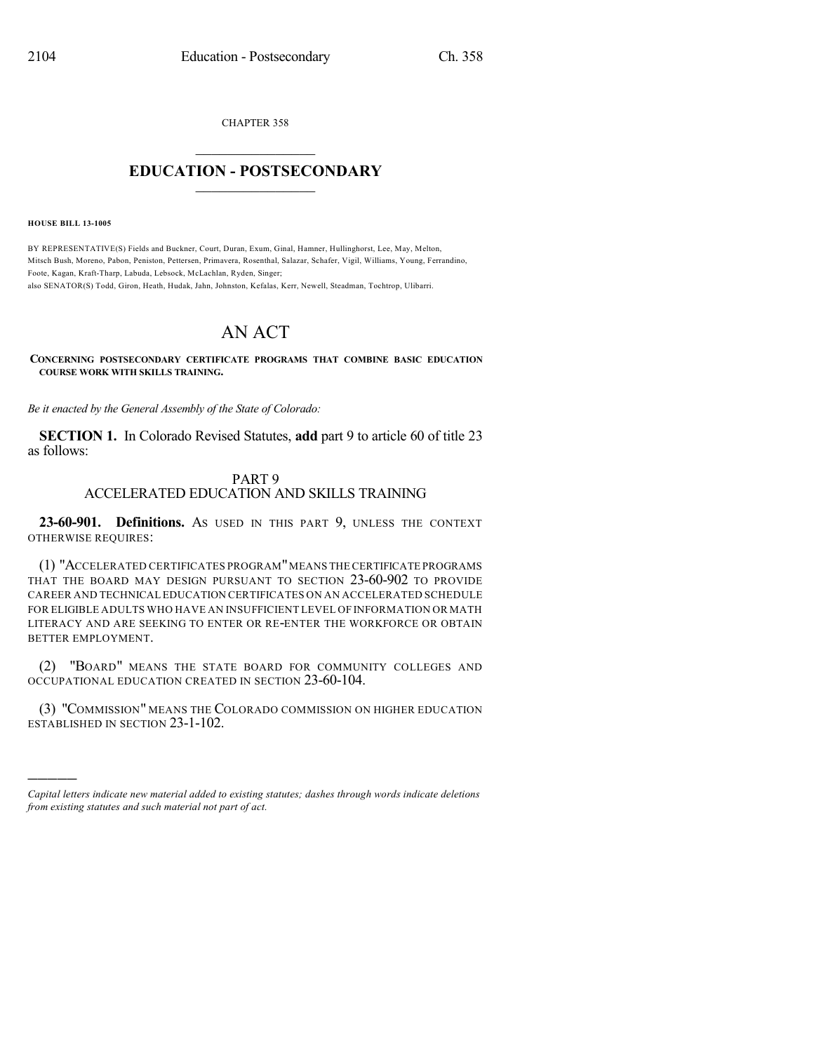CHAPTER 358

## $\mathcal{L}_\text{max}$  . The set of the set of the set of the set of the set of the set of the set of the set of the set of the set of the set of the set of the set of the set of the set of the set of the set of the set of the set **EDUCATION - POSTSECONDARY**  $\frac{1}{2}$  ,  $\frac{1}{2}$  ,  $\frac{1}{2}$  ,  $\frac{1}{2}$  ,  $\frac{1}{2}$  ,  $\frac{1}{2}$  ,  $\frac{1}{2}$

**HOUSE BILL 13-1005**

)))))

BY REPRESENTATIVE(S) Fields and Buckner, Court, Duran, Exum, Ginal, Hamner, Hullinghorst, Lee, May, Melton, Mitsch Bush, Moreno, Pabon, Peniston, Pettersen, Primavera, Rosenthal, Salazar, Schafer, Vigil, Williams, Young, Ferrandino, Foote, Kagan, Kraft-Tharp, Labuda, Lebsock, McLachlan, Ryden, Singer; also SENATOR(S) Todd, Giron, Heath, Hudak, Jahn, Johnston, Kefalas, Kerr, Newell, Steadman, Tochtrop, Ulibarri.

## AN ACT

## **CONCERNING POSTSECONDARY CERTIFICATE PROGRAMS THAT COMBINE BASIC EDUCATION COURSE WORK WITH SKILLS TRAINING.**

*Be it enacted by the General Assembly of the State of Colorado:*

**SECTION 1.** In Colorado Revised Statutes, **add** part 9 to article 60 of title 23 as follows:

## PART 9 ACCELERATED EDUCATION AND SKILLS TRAINING

**23-60-901. Definitions.** AS USED IN THIS PART 9, UNLESS THE CONTEXT OTHERWISE REQUIRES:

(1) "ACCELERATED CERTIFICATES PROGRAM"MEANS THE CERTIFICATE PROGRAMS THAT THE BOARD MAY DESIGN PURSUANT TO SECTION 23-60-902 TO PROVIDE CAREER AND TECHNICAL EDUCATION CERTIFICATES ON AN ACCELERATED SCHEDULE FOR ELIGIBLE ADULTS WHO HAVE AN INSUFFICIENT LEVEL OF INFORMATION OR MATH LITERACY AND ARE SEEKING TO ENTER OR RE-ENTER THE WORKFORCE OR OBTAIN BETTER EMPLOYMENT.

(2) "BOARD" MEANS THE STATE BOARD FOR COMMUNITY COLLEGES AND OCCUPATIONAL EDUCATION CREATED IN SECTION 23-60-104.

(3) "COMMISSION" MEANS THE COLORADO COMMISSION ON HIGHER EDUCATION ESTABLISHED IN SECTION 23-1-102.

*Capital letters indicate new material added to existing statutes; dashes through words indicate deletions from existing statutes and such material not part of act.*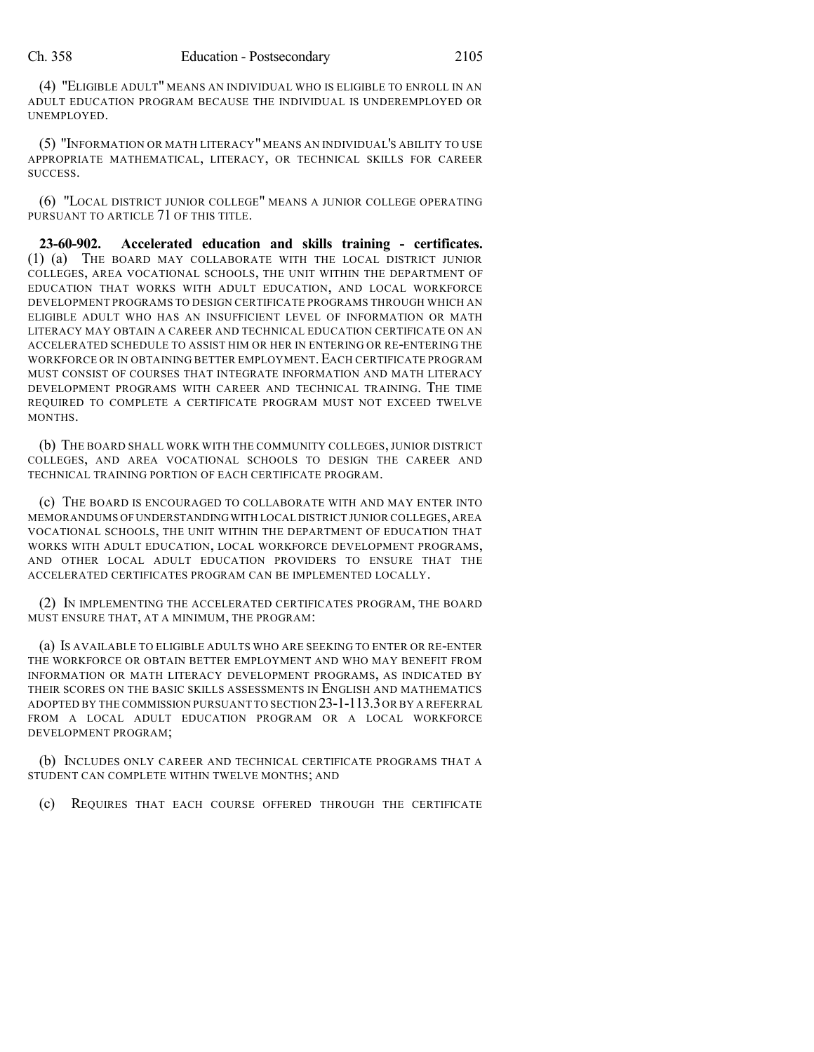(4) "ELIGIBLE ADULT" MEANS AN INDIVIDUAL WHO IS ELIGIBLE TO ENROLL IN AN ADULT EDUCATION PROGRAM BECAUSE THE INDIVIDUAL IS UNDEREMPLOYED OR UNEMPLOYED.

(5) "INFORMATION OR MATH LITERACY" MEANS AN INDIVIDUAL'S ABILITY TO USE APPROPRIATE MATHEMATICAL, LITERACY, OR TECHNICAL SKILLS FOR CAREER SUCCESS.

(6) "LOCAL DISTRICT JUNIOR COLLEGE" MEANS A JUNIOR COLLEGE OPERATING PURSUANT TO ARTICLE 71 OF THIS TITLE.

**23-60-902. Accelerated education and skills training - certificates.** (1) (a) THE BOARD MAY COLLABORATE WITH THE LOCAL DISTRICT JUNIOR COLLEGES, AREA VOCATIONAL SCHOOLS, THE UNIT WITHIN THE DEPARTMENT OF EDUCATION THAT WORKS WITH ADULT EDUCATION, AND LOCAL WORKFORCE DEVELOPMENT PROGRAMS TO DESIGN CERTIFICATE PROGRAMS THROUGH WHICH AN ELIGIBLE ADULT WHO HAS AN INSUFFICIENT LEVEL OF INFORMATION OR MATH LITERACY MAY OBTAIN A CAREER AND TECHNICAL EDUCATION CERTIFICATE ON AN ACCELERATED SCHEDULE TO ASSIST HIM OR HER IN ENTERING OR RE-ENTERING THE WORKFORCE OR IN OBTAINING BETTER EMPLOYMENT. EACH CERTIFICATE PROGRAM MUST CONSIST OF COURSES THAT INTEGRATE INFORMATION AND MATH LITERACY DEVELOPMENT PROGRAMS WITH CAREER AND TECHNICAL TRAINING. THE TIME REQUIRED TO COMPLETE A CERTIFICATE PROGRAM MUST NOT EXCEED TWELVE MONTHS.

(b) THE BOARD SHALL WORK WITH THE COMMUNITY COLLEGES, JUNIOR DISTRICT COLLEGES, AND AREA VOCATIONAL SCHOOLS TO DESIGN THE CAREER AND TECHNICAL TRAINING PORTION OF EACH CERTIFICATE PROGRAM.

(c) THE BOARD IS ENCOURAGED TO COLLABORATE WITH AND MAY ENTER INTO MEMORANDUMS OF UNDERSTANDINGWITH LOCAL DISTRICT JUNIOR COLLEGES,AREA VOCATIONAL SCHOOLS, THE UNIT WITHIN THE DEPARTMENT OF EDUCATION THAT WORKS WITH ADULT EDUCATION, LOCAL WORKFORCE DEVELOPMENT PROGRAMS, AND OTHER LOCAL ADULT EDUCATION PROVIDERS TO ENSURE THAT THE ACCELERATED CERTIFICATES PROGRAM CAN BE IMPLEMENTED LOCALLY.

(2) IN IMPLEMENTING THE ACCELERATED CERTIFICATES PROGRAM, THE BOARD MUST ENSURE THAT, AT A MINIMUM, THE PROGRAM:

(a) IS AVAILABLE TO ELIGIBLE ADULTS WHO ARE SEEKING TO ENTER OR RE-ENTER THE WORKFORCE OR OBTAIN BETTER EMPLOYMENT AND WHO MAY BENEFIT FROM INFORMATION OR MATH LITERACY DEVELOPMENT PROGRAMS, AS INDICATED BY THEIR SCORES ON THE BASIC SKILLS ASSESSMENTS IN ENGLISH AND MATHEMATICS ADOPTED BY THE COMMISSION PURSUANT TO SECTION 23-1-113.3OR BY A REFERRAL FROM A LOCAL ADULT EDUCATION PROGRAM OR A LOCAL WORKFORCE DEVELOPMENT PROGRAM;

(b) INCLUDES ONLY CAREER AND TECHNICAL CERTIFICATE PROGRAMS THAT A STUDENT CAN COMPLETE WITHIN TWELVE MONTHS; AND

(c) REQUIRES THAT EACH COURSE OFFERED THROUGH THE CERTIFICATE